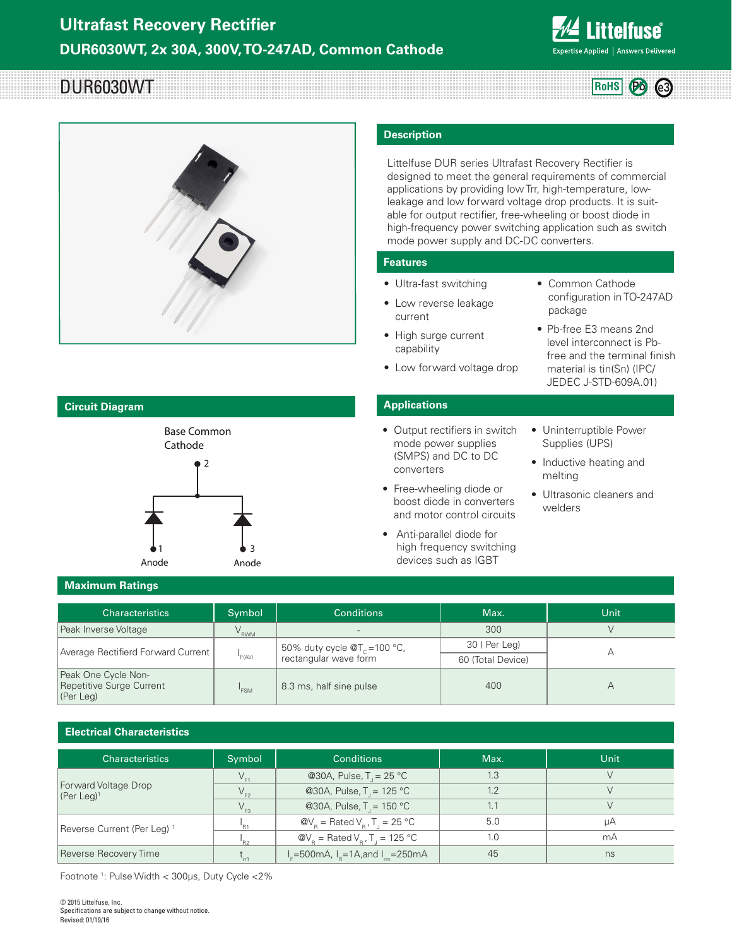

**RoHS Pb e3**

# DUR6030WT



# **Description**

Littelfuse DUR series Ultrafast Recovery Rectifier is designed to meet the general requirements of commercial applications by providing low Trr, high-temperature, lowleakage and low forward voltage drop products. It is suitable for output rectifier, free-wheeling or boost diode in high-frequency power switching application such as switch mode power supply and DC-DC converters.

#### **Features**

- Ultra-fast switching
- Low reverse leakage current
- Common Cathode configuration in TO-247AD package
- High surge current capability
- Pb-free E3 means 2nd level interconnect is Pbfree and the terminal finish

material is tin(Sn) (IPC/ JEDEC J-STD-609A.01)

• Low forward voltage drop

#### **Applications**

- Output rectifiers in switch mode power supplies (SMPS) and DC to DC converters
- Free-wheeling diode or boost diode in converters and motor control circuits
- Anti-parallel diode for high frequency switching devices such as IGBT
- Uninterruptible Power Supplies (UPS)
- Inductive heating and melting
- Ultrasonic cleaners and welders

**Maximum Ratings** 

| <b>Characteristics</b>                                       | Symbol           | <b>Conditions</b>                                                  | Max.              | Unit |
|--------------------------------------------------------------|------------------|--------------------------------------------------------------------|-------------------|------|
| Peak Inverse Voltage                                         | $V_{RWM}$        | $\sim$                                                             | 300               |      |
| Average Rectifierd Forward Current                           | F(AV)            | 50% duty cycle $\mathcal{Q}T_c$ = 100 °C,<br>rectangular wave form | 30 (Per Leg)      |      |
|                                                              |                  |                                                                    | 60 (Total Device) |      |
| Peak One Cycle Non-<br>Repetitive Surge Current<br>(Per Leg) | <sup>'</sup> FSM | 8.3 ms, half sine pulse                                            | 400               |      |

#### **Electrical Characteristics**

| <b>Characteristics</b>                             | Symbol                      | <b>Conditions</b>                                                            | Max. | Unit |
|----------------------------------------------------|-----------------------------|------------------------------------------------------------------------------|------|------|
| Forward Voltage Drop<br>$[$ (Per Leg) <sup>1</sup> |                             | @30A, Pulse, $T = 25 °C$                                                     | 1.3  |      |
|                                                    | $V_{F2}$                    | @30A, Pulse, $T = 125 °C$                                                    | 1.2  |      |
|                                                    | $V_{F3}$                    | @30A, Pulse, $T = 150 °C$                                                    |      |      |
| Reverse Current (Per Leg) <sup>1</sup>             | 'R1                         | $\mathcal{Q}V_{\rm B}$ = Rated $V_{\rm B}$ , T <sub>1</sub> = 25 °C          | 5.0  | цA   |
|                                                    | 'R2                         | $\mathcal{Q}V_{\rm B}$ = Rated $V_{\rm B}$ , T <sub>J</sub> = 125 °C         | 1.0  | mA   |
| Reverse Recovery Time                              | $\mathsf{L}_{\mathsf{rr1}}$ | $I_{E} = 500 \text{mA}$ , $I_{R} = 1 \text{A}$ , and $I_{m} = 250 \text{mA}$ | 45   | ns   |

Footnote 1 : Pulse Width < 300μs, Duty Cycle <2%

#### **Circuit Diagram**

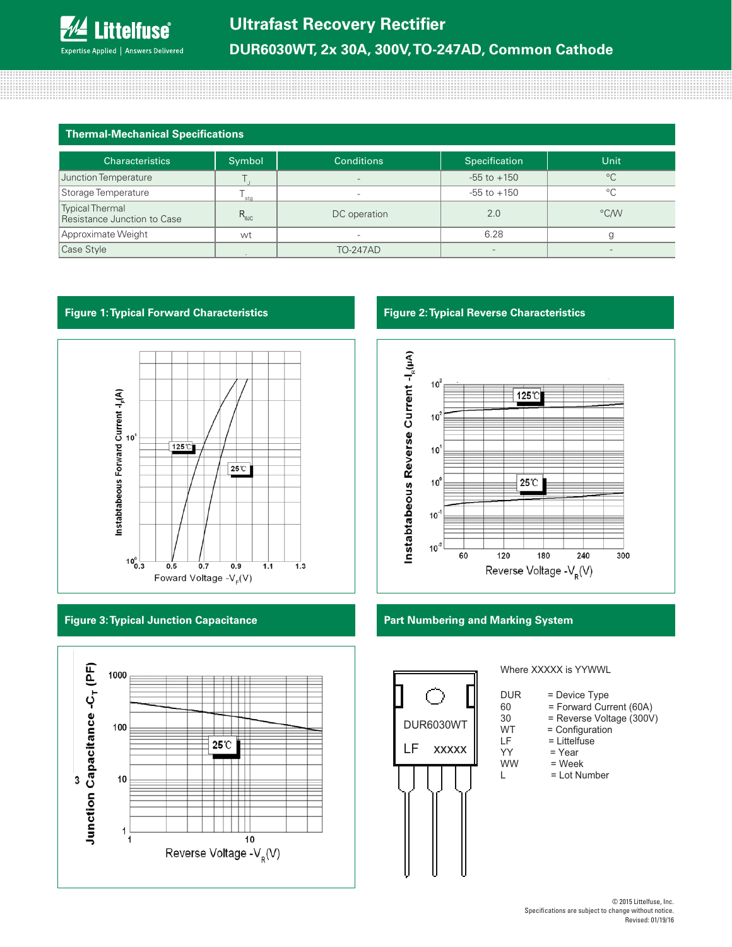| <b>Thermal-Mechanical Specifications</b> |  |
|------------------------------------------|--|
|------------------------------------------|--|

8888888888888888

| <b>Characteristics</b>                                | Symbol           | <b>Conditions</b>        | Specification   | <b>Unit</b>  |
|-------------------------------------------------------|------------------|--------------------------|-----------------|--------------|
| Junction Temperature                                  |                  | $\overline{\phantom{a}}$ | $-55$ to $+150$ | $^{\circ}$ C |
| Storage Temperature                                   | sta              |                          | $-55$ to $+150$ | $^{\circ}$ C |
| <b>Typical Thermal</b><br>Resistance Junction to Case | $R_{\text{euc}}$ | DC operation             | 2.0             | °C/W         |
| Approximate Weight                                    | wt               | $\overline{\phantom{a}}$ | 6.28            |              |
| Case Style                                            |                  | <b>TO-247AD</b>          |                 |              |

### **Figure 1: Typical Forward Characteristics Figure 2: Typical Reverse Characteristics**



#### **Figure 3: Typical Junction Capacitance**





#### **Part Numbering and Marking System**



## Where XXXXX is YYWWL

- DUR = Device Type
- 60 = Forward Current (60A)<br>30 = Reverse Voltage (300V

- 30 = Reverse Voltage (300V)<br>WT = Configuration WT = Configuration<br>LF = Littelfuse
- LF = Littelfuse<br>YY = Year
- YY = Year<br>WW = Weel
	- = Week
- L = Lot Number